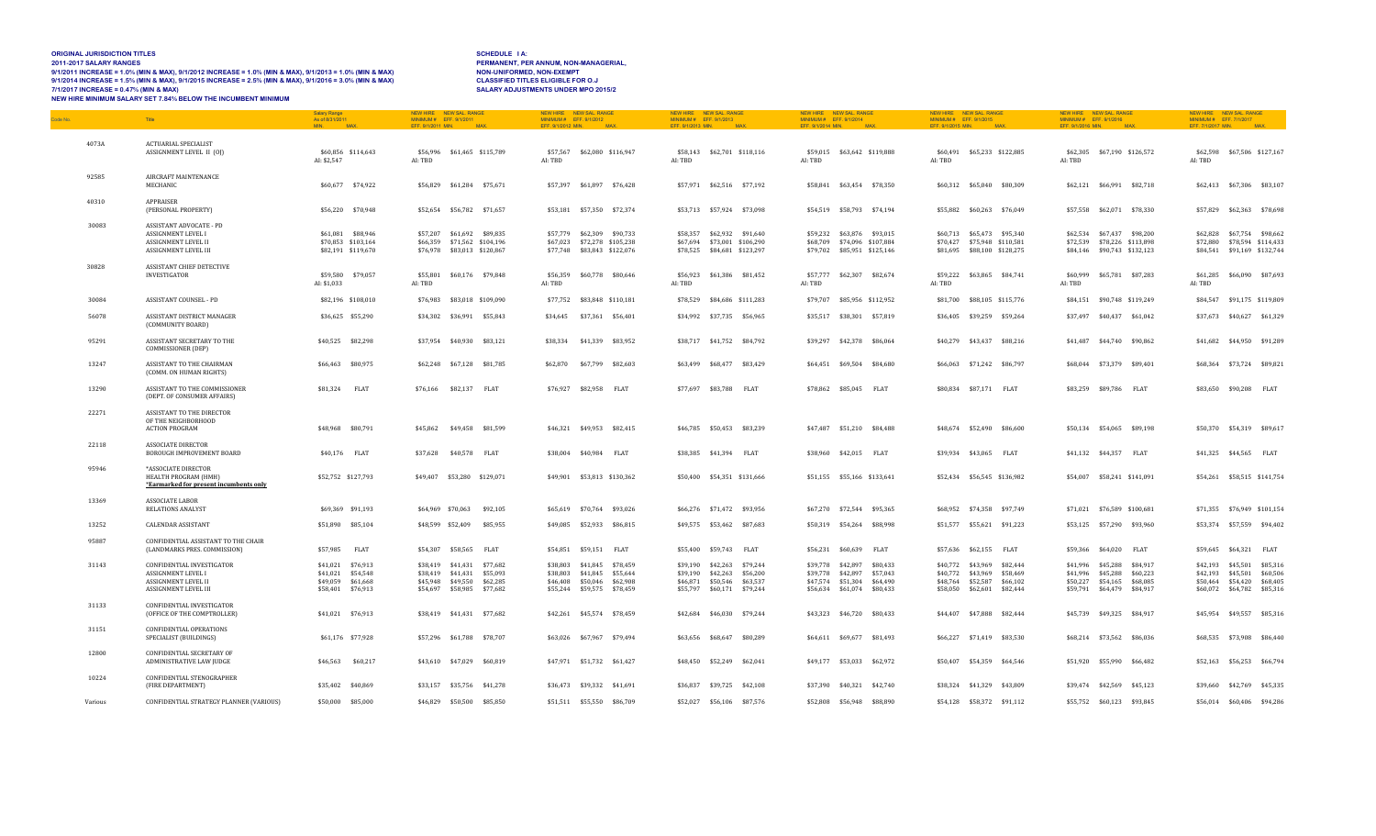### **ORIGINAL JURISDICTION TITLES<br>2011-2017 SALARY RANGES** 9/1/2011 INCREASE = 1.0% (MIN & MAX), 9/1/2012 INCREASE = 1.0% (MIN & MAX), 9/1/2013 = 1.0% (MIN & MAX) NON-UNIFORMED, NON-EXEMPT<br>9/1/2014 INCREASE = 1.5% (MIN & MAX), 9/1/2015 INCREASE = 2.5% (MIN & MAX), 9/1 **7/1/2017 INCREASE = 0.47% (MIN & MAX) SALARY ADJUSTMENTS UNDER MPO 2015/2 NEW HIRE MINIMUM SALARY SET 7.84% BELOW THE INCUMBENT MINIMUM**

### **20HEDULE 1A:<br>PERMANENT, PER ANNUM, NON-MANAGERIAL,<br>NON-UNIFORMED, NON-EXEMPT<br>CLASSIFIED TITLES ELIGIBLE FOR O.J**

| Code No. |         | Title                                                                                          | <b>Salary Range</b><br>As of 8/31/2011<br>MIN.<br>MA <sub>2</sub>                | NEW SAL RANGE<br>NEW HIRE<br>MINIMUM # EFF. 9/1/2011<br>EFF. 9/1/2011 MIN.<br><b>MAX</b>                                | NEW HIRE NEW SAL. RANGE<br>MINIMUM # EFF. 9/1/2012<br>EFF. 9/1/2012 MIN. MAX.                                              | NEW HIRE NEW SAL RANGE<br>MINIMUM # EFF. 9/1/2013<br>EFF. 9/1/2013 MIN. MAX.                                                  | NEW HIRE NEW SAL, RANGE<br>MINIMUM # EFF. 9/1/2014<br>EFF, 9/1/2014 MIN. MAX                                            | NEW HIRE NEW SAL, RANGE<br>MINIMUM # EFF. 9/1/2015<br>EFF. 9/1/2015 MIN. MAX                                                     | NEW HIRE NEW SAL, RANGE<br>MINIMUM # EFF. 9/1/2016<br>EFF. 9/1/2016 MIN. MAX.                                                    | NEW HIRE NEW SAL, RANGE<br>MINIMUM # EFF. 7/1/2017<br>EFF. 7/1/2017 MIN. MAX.                                                       |
|----------|---------|------------------------------------------------------------------------------------------------|----------------------------------------------------------------------------------|-------------------------------------------------------------------------------------------------------------------------|----------------------------------------------------------------------------------------------------------------------------|-------------------------------------------------------------------------------------------------------------------------------|-------------------------------------------------------------------------------------------------------------------------|----------------------------------------------------------------------------------------------------------------------------------|----------------------------------------------------------------------------------------------------------------------------------|-------------------------------------------------------------------------------------------------------------------------------------|
|          | 4073A   | <b>ACTUARIAL SPECIALIST</b><br>ASSIGNMENT LEVEL II (0J)                                        | \$60,856 \$114,643<br>AI: \$2,547                                                | \$56,996 \$61,465 \$115,789<br>AI: TBD                                                                                  | \$62,080 \$116,947<br>\$57,567<br>AI: TBD                                                                                  | \$58,143 \$62,701 \$118,116<br>AI: TBD                                                                                        | \$59,015 \$63,642 \$119,888<br>AI: TBD                                                                                  | \$65,233 \$122,885<br>\$60,491<br>AI: TBD                                                                                        | \$62,305 \$67,190 \$126,572<br>AI: TBD                                                                                           | \$62,598 \$67,506 \$127,167<br>AI: TBD                                                                                              |
|          | 92585   | AIRCRAFT MAINTENANCE<br>MECHANIC                                                               | \$60,677 \$74,922                                                                | \$56,829 \$61,284 \$75,671                                                                                              | \$57,397 \$61,897 \$76,428                                                                                                 | \$57,971 \$62,516 \$77,192                                                                                                    | \$58,841 \$63,454 \$78,350                                                                                              | \$60,312 \$65,040 \$80,309                                                                                                       | \$62,121 \$66,991 \$82,718                                                                                                       | \$62,413 \$67,306 \$83,107                                                                                                          |
|          | 40310   | <b>APPRAISER</b><br>(PERSONAL PROPERTY)                                                        | \$56,220 \$70,948                                                                | \$52,654 \$56,782 \$71,657                                                                                              | \$53,181 \$57,350 \$72,374                                                                                                 | \$53,713 \$57,924 \$73,098                                                                                                    | \$54,519 \$58,793 \$74,194                                                                                              | \$55,882 \$60,263 \$76,049                                                                                                       | \$57,558 \$62,071 \$78,330                                                                                                       | \$57,829 \$62,363 \$78,698                                                                                                          |
|          | 30083   | ASSISTANT ADVOCATE - PD<br>ASSIGNMENT LEVEL I<br>ASSIGNMENT LEVEL II<br>ASSIGNMENT LEVEL III   | \$61,081 \$88,946<br>\$70,853 \$103,164<br>\$82,191 \$119,670                    | \$57,207 \$61,692 \$89,835<br>\$66,359 \$71,562 \$104,196<br>\$76,978 \$83,013 \$120,867                                | \$57,779 \$62,309 \$90,733<br>\$67,023 \$72,278 \$105,238<br>\$77,748 \$83,843 \$122,076                                   | \$58,357 \$62,932 \$91,640<br>\$67,694 \$73,001 \$106,290<br>\$78,525 \$84,681 \$123,297                                      | \$59,232 \$63,876 \$93,015<br>\$68,709 \$74,096 \$107,884<br>\$79,702 \$85,951 \$125,146                                | \$60,713 \$65,473 \$95,340<br>\$70,427 \$75,948 \$110,581<br>\$81,695 \$88,100 \$128,275                                         | \$62,534 \$67,437 \$98,200<br>\$72,539 \$78,226 \$113,898<br>\$84,146 \$90,743 \$132,123                                         | \$62,828 \$67,754 \$98,662<br>\$72,880<br>\$78,594 \$114,433<br>\$91,169 \$132,744<br>\$84,541                                      |
|          | 30828   | ASSISTANT CHIEF DETECTIVE<br><b>INVESTIGATOR</b>                                               | \$59,580<br>\$79,057<br>AI: \$1,033                                              | \$55,801<br>\$60,176 \$79,848<br>AI: TBD                                                                                | \$56,359<br>\$60,778 \$80,646<br>AI: TBD                                                                                   | \$56,923 \$61,386 \$81,452<br>AI: TBD                                                                                         | \$57,777<br>\$62,307 \$82,674<br>AI: TBD                                                                                | \$59,222<br>\$63,865 \$84,741<br>AI: TBD                                                                                         | \$60,999<br>\$65,781 \$87,283<br>AI: TBD                                                                                         | \$61,285<br>\$66,090<br>\$87,693<br>AI: TBD                                                                                         |
|          | 30084   | ASSISTANT COUNSEL - PD                                                                         | \$82,196 \$108,010                                                               | \$76,983 \$83,018 \$109,090                                                                                             | \$77,752 \$83,848 \$110,181                                                                                                | \$78,529 \$84,686 \$111,283                                                                                                   | \$79,707 \$85,956 \$112,952                                                                                             | \$81.700<br>\$88,105 \$115,776                                                                                                   | \$84.151 \$90.748 \$119.249                                                                                                      | \$91,175 \$119,809<br>\$84.547                                                                                                      |
|          | 56078   | ASSISTANT DISTRICT MANAGER<br>(COMMUNITY BOARD)                                                | \$36,625 \$55,290                                                                | \$34,302 \$36,991 \$55,843                                                                                              | \$34,645 \$37,361 \$56,401                                                                                                 | \$34,992 \$37,735 \$56,965                                                                                                    | \$35,517 \$38,301 \$57,819                                                                                              | \$36,405 \$39,259 \$59,264                                                                                                       | \$37,497 \$40,437 \$61,042                                                                                                       | \$37,673 \$40,627 \$61,329                                                                                                          |
|          | 95291   | ASSISTANT SECRETARY TO THE<br>COMMISSIONER (DEP)                                               | \$40,525 \$82,298                                                                | \$37,954 \$40,930 \$83,121                                                                                              | \$38,334<br>\$41,339 \$83,952                                                                                              | \$38,717 \$41,752 \$84,792                                                                                                    | \$39,297 \$42,378 \$86,064                                                                                              | \$40,279 \$43,437 \$88,216                                                                                                       | \$44,740 \$90,862<br>\$41,487                                                                                                    | \$41,682<br>\$44,950 \$91,289                                                                                                       |
|          | 13247   | ASSISTANT TO THE CHAIRMAN<br>(COMM. ON HUMAN RIGHTS)                                           | \$66,463 \$80,975                                                                | \$62,248 \$67,128 \$81,785                                                                                              | \$62,870<br>\$67,799<br>\$82,603                                                                                           | \$63,499 \$68,477 \$83,429                                                                                                    | \$64,451 \$69,504 \$84,680                                                                                              | \$66,063<br>\$71,242 \$86,797                                                                                                    | \$68,044<br>\$73,379<br>\$89,401                                                                                                 | \$73,724 \$89,821<br>\$68,364                                                                                                       |
|          | 13290   | ASSISTANT TO THE COMMISSIONER<br>(DEPT. OF CONSUMER AFFAIRS)                                   | \$81,324 FLAT                                                                    | \$76,166 \$82,137 FLAT                                                                                                  | \$76,927 \$82,958 FLAT                                                                                                     | \$77,697 \$83,788 FLAT                                                                                                        | \$78,862 \$85,045 FLAT                                                                                                  | \$80,834<br>\$87,171 FLAT                                                                                                        | \$83,259 \$89,786 FLAT                                                                                                           | \$90,208 FLAT<br>\$83,650                                                                                                           |
|          | 22271   | ASSISTANT TO THE DIRECTOR<br>OF THE NEIGHBORHOOD<br><b>ACTION PROGRAM</b>                      | \$48,968 \$80,791                                                                | \$49,458 \$81,599<br>\$45,862                                                                                           | \$46,321 \$49,953 \$82,415                                                                                                 | \$46,785 \$50,453 \$83,239                                                                                                    | \$47,487 \$51,210 \$84,488                                                                                              | \$48,674 \$52,490 \$86,600                                                                                                       | \$50,134 \$54,065 \$89,198                                                                                                       | \$50,370 \$54,319 \$89,617                                                                                                          |
|          | 22118   | <b>ASSOCIATE DIRECTOR</b><br>BOROUGH IMPROVEMENT BOARD                                         | \$40,176 FLAT                                                                    | \$37,628 \$40,578 FLAT                                                                                                  | \$38,004 \$40,984 FLAT                                                                                                     | \$38,385 \$41,394 FLAT                                                                                                        | \$38,960 \$42,015 FLAT                                                                                                  | \$39,934 \$43,065 FLAT                                                                                                           | \$41,132 \$44,357 FLAT                                                                                                           | \$41,325 \$44,565 FLAT                                                                                                              |
|          | 95946   | *ASSOCIATE DIRECTOR<br>HEALTH PROGRAM (HMH)<br>*Earmarked for present incumbents only          | \$52,752 \$127,793                                                               | \$49,407 \$53,280 \$129,071                                                                                             | \$49,901 \$53,813 \$130,362                                                                                                | \$50,400 \$54,351 \$131,666                                                                                                   | \$51,155 \$55,166 \$133,641                                                                                             | \$52,434 \$56,545 \$136,982                                                                                                      | \$54,007 \$58,241 \$141,091                                                                                                      | \$54,261 \$58,515 \$141,754                                                                                                         |
|          | 13369   | <b>ASSOCIATE LABOR</b><br>RELATIONS ANALYST                                                    | \$69,369 \$91,193                                                                | \$64,969 \$70,063<br>\$92,105                                                                                           | \$65,619 \$70,764 \$93,026                                                                                                 | \$66,276 \$71,472 \$93,956                                                                                                    | \$67,270 \$72,544 \$95,365                                                                                              | \$68,952 \$74,358 \$97,749                                                                                                       | \$71,021 \$76,589 \$100,681                                                                                                      | \$71,355 \$76,949 \$101,154                                                                                                         |
|          | 13252   | <b>CALENDAR ASSISTANT</b>                                                                      | \$51,890 \$85,104                                                                | \$48,599 \$52,409<br>\$85,955                                                                                           | \$49,085 \$52,933 \$86,815                                                                                                 | \$49.575 \$53.462 \$87.683                                                                                                    | \$50,319 \$54,264 \$88,998                                                                                              | \$51,577 \$55,621 \$91,223                                                                                                       | \$53,125 \$57,290 \$93,960                                                                                                       | \$53,374 \$57,559 \$94,402                                                                                                          |
|          | 95887   | CONFIDENTIAL ASSISTANT TO THE CHAIR<br>(LANDMARKS PRES. COMMISSION)                            | \$57,985 FLAT                                                                    | \$54,307 \$58,565<br>FLAT                                                                                               | \$54.851 \$59.151 FLAT                                                                                                     | \$55,400 \$59,743 FLAT                                                                                                        | \$56.231 \$60.639<br><b>FLAT</b>                                                                                        | <b>FLAT</b><br>\$57.636<br>\$62.155                                                                                              | \$59,366 \$64,020<br><b>FLAT</b>                                                                                                 | \$64,321 FLAT<br>\$59.645                                                                                                           |
|          | 31143   | CONFIDENTIAL INVESTIGATOR<br>ASSIGNMENT LEVEL I<br>ASSIGNMENT LEVEL II<br>ASSIGNMENT LEVEL III | \$41,021 \$76,913<br>\$41,021 \$54,548<br>\$49,059 \$61,668<br>\$58,401 \$76,913 | \$38,419 \$41,431 \$77,682<br>\$38,419 \$41,431 \$55,093<br>\$45,948 \$49,550 \$62,285<br>\$54,697<br>\$58,985 \$77,682 | \$38,803 \$41,845 \$78,459<br>\$38,803 \$41,845 \$55,644<br>\$46,408 \$50,046<br>\$62,908<br>\$59,575 \$78,459<br>\$55,244 | \$39,190 \$42,263 \$79,244<br>\$39,190 \$42,263<br>\$56,200<br>\$46,871 \$50,546 \$63,537<br>\$55,797<br>\$60,171<br>\$79,244 | \$39,778 \$42,897 \$80,433<br>\$39,778 \$42,897 \$57,043<br>\$47,574 \$51,304 \$64,490<br>\$56,634<br>\$61,074 \$80,433 | \$40,772 \$43,969 \$82,444<br>\$40.772<br>\$43,969 \$58,469<br>\$48,764<br>\$52,587 \$66,102<br>\$58,050<br>\$62,601<br>\$82,444 | \$84,917<br>\$41,996 \$45,288<br>\$41,996 \$45,288<br>\$60,223<br>\$50,227 \$54,165 \$68,085<br>\$59,791<br>\$64,479<br>\$84,917 | \$42,193 \$45,501 \$85,316<br>\$42,193 \$45,501<br>\$60,506<br>\$50,464<br>\$54,420<br>\$68,405<br>\$60,072<br>\$64,782<br>\$85,316 |
|          | 31133   | CONFIDENTIAL INVESTIGATOR<br>(OFFICE OF THE COMPTROLLER)                                       | \$41,021 \$76,913                                                                | \$38,419 \$41,431 \$77,682                                                                                              | \$42,261 \$45,574 \$78,459                                                                                                 | \$42,684 \$46,030 \$79,244                                                                                                    | \$43,323 \$46,720 \$80,433                                                                                              | \$44,407 \$47,888 \$82,444                                                                                                       | \$45,739 \$49,325 \$84,917                                                                                                       | \$45.954<br>\$49,557<br>\$85,316                                                                                                    |
|          | 31151   | <b>CONFIDENTIAL OPERATIONS</b><br>SPECIALIST (BUILDINGS)                                       | \$61,176 \$77,928                                                                | \$57,296 \$61,788 \$78,707                                                                                              | \$63,026 \$67,967 \$79,494                                                                                                 | \$63,656 \$68,647 \$80,289                                                                                                    | \$64,611 \$69,677 \$81,493                                                                                              | \$66.227 \$71.419 \$83.530                                                                                                       | \$68,214 \$73,562 \$86,036                                                                                                       | \$68,535 \$73,908<br>\$86,440                                                                                                       |
|          | 12800   | CONFIDENTIAL SECRETARY OF<br>ADMINISTRATIVE LAW JUDGE                                          | \$46,563 \$60,217                                                                | \$43,610 \$47,029 \$60,819                                                                                              | \$47,971 \$51,732 \$61,427                                                                                                 | \$48,450 \$52,249 \$62,041                                                                                                    | \$49,177 \$53,033 \$62,972                                                                                              | \$50.407 \$54.359 \$64.546                                                                                                       | \$51,920 \$55,990 \$66,482                                                                                                       | \$52.163 \$56.253<br>\$66,794                                                                                                       |
|          | 10224   | CONFIDENTIAL STENOGRAPHER<br>(FIRE DEPARTMENT)                                                 | \$35.402 \$40.869                                                                | \$33.157 \$35.756 \$41.278                                                                                              | \$36.473 \$39.332 \$41.691                                                                                                 | \$36,837 \$39,725 \$42,108                                                                                                    | \$37,390 \$40,321 \$42,740                                                                                              | \$38,324 \$41,329 \$43,809                                                                                                       | \$39.474 \$42.569<br>\$45,123                                                                                                    | \$42,769 \$45,335<br>\$39.660                                                                                                       |
|          | Various | CONFIDENTIAL STRATEGY PLANNER (VARIOUS)                                                        | \$50,000 \$85,000                                                                | \$46,829 \$50,500 \$85,850                                                                                              | \$51,511 \$55,550 \$86,709                                                                                                 | \$52,027 \$56,106 \$87,576                                                                                                    | \$52,808 \$56,948 \$88,890                                                                                              | \$54,128 \$58,372 \$91,112                                                                                                       | \$55,752 \$60,123 \$93,845                                                                                                       | \$56,014 \$60,406 \$94,286                                                                                                          |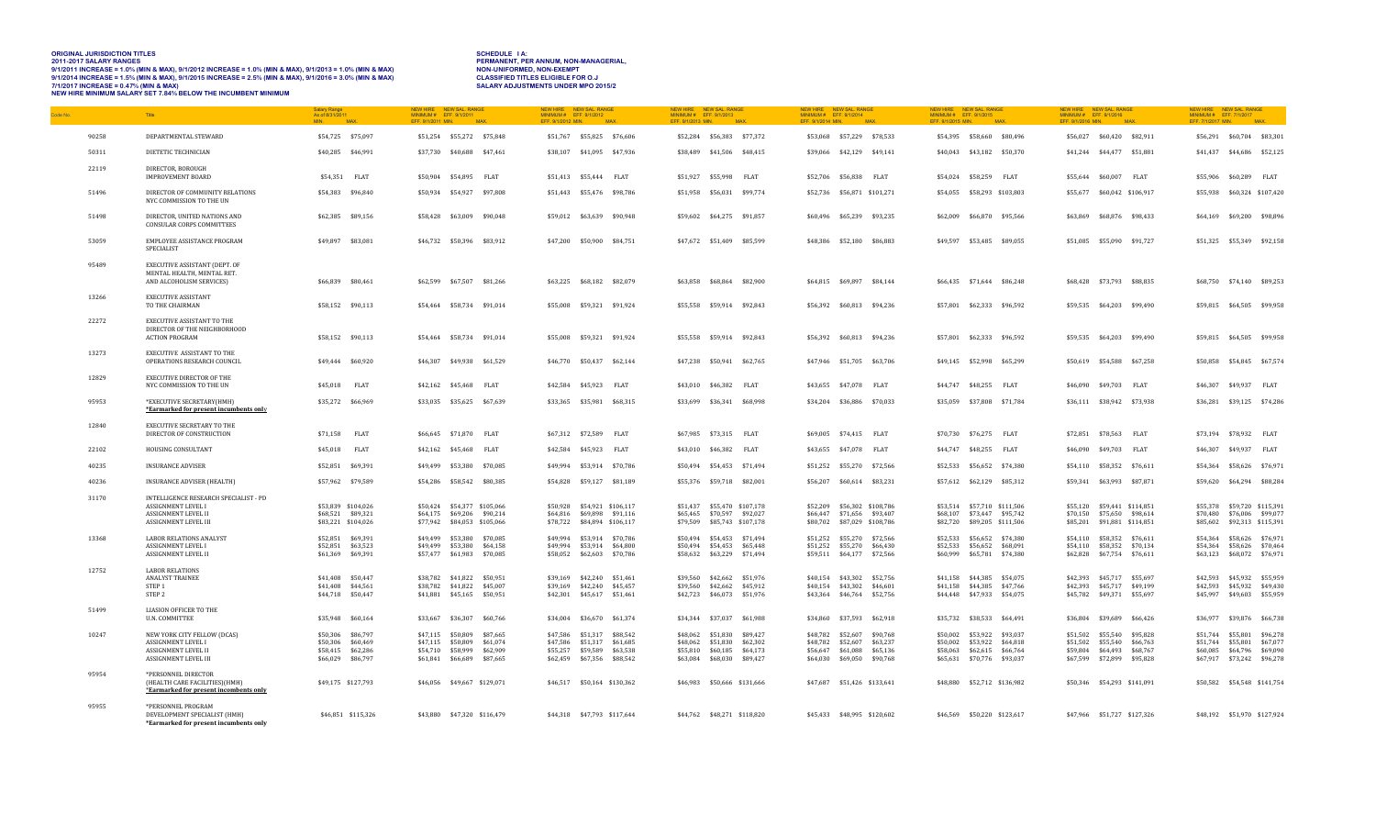| <b>ORIGINAL JURISDICTION TITLES</b>                                                                     | SCHEDULE 1A:                               |
|---------------------------------------------------------------------------------------------------------|--------------------------------------------|
| <b>2011-2017 SALARY RANGES</b>                                                                          | PERMANENT, PER ANNUM, NON-MANAGERIAL.      |
| 9/1/2011 INCREASE = 1.0% (MIN & MAX), 9/1/2012 INCREASE = 1.0% (MIN & MAX), 9/1/2013 = 1.0% (MIN & MAX) | NON-UNIFORMED, NON-EXEMPT                  |
| 9/1/2014 INCREASE = 1.5% (MIN & MAX), 9/1/2015 INCREASE = 2.5% (MIN & MAX), 9/1/2016 = 3.0% (MIN & MAX) | <b>CLASSIFIED TITLES ELIGIBLE FOR O.J.</b> |
| $7/1/2017$ INCREASE = 0.47% (MIN & MAX)                                                                 | <b>SALARY ADJUSTMENTS UNDER MPO 2015/2</b> |
| NEW HIRE MINIMUM SALARY SET 7.84% BELOW THE INCUMBENT MINIMUM                                           |                                            |

| Code No | Title                                                                                                             | Salary Range<br>As of 8/31/2011<br>MIN.<br>MA <sub>2</sub>                       | NEW HIRE NEW SAL, RANGE<br>MINIMUM # EFF. 9/1/2011<br>EFF. 9/1/2011 MIN.<br><b>MAX</b>                               | NEW HIRE NEW SAL, RANGE<br>MINIMUM # EFF. 9/1/2012<br>EFF. 9/1/2012 MIN.<br>MAX                                      | NEW HIRE NEW SAL RANGE<br>MINIMUM # EFF. 9/1/2013<br>EFF. 9/1/2013 MIN.<br><b>MAX</b>                                | NEW HIRE NEW SAL, RANGE<br>MINIMUM # EFF. 9/1/2014<br>EFF. 9/1/2014 MIN.<br>MAX                                               | NEW HIRE NEW SAL, RANGE<br>MINIMUM # EFF. 9/1/2015<br>EFF. 9/1/2015 MIN.<br>MAX.                                     | NEW HIRE NEW SAL, RANGE<br>MINIMUM # EFF. 9/1/2016<br>EFF. 9/1/2016 MIN.<br><b>MAX</b>                                     | NEW HIRE<br>NEW SAL, RANGE<br>MINIMUM # EFF. 7/1/2017<br>EFF. 7/1/2017 MIN.<br><b>MAX</b>                            |
|---------|-------------------------------------------------------------------------------------------------------------------|----------------------------------------------------------------------------------|----------------------------------------------------------------------------------------------------------------------|----------------------------------------------------------------------------------------------------------------------|----------------------------------------------------------------------------------------------------------------------|-------------------------------------------------------------------------------------------------------------------------------|----------------------------------------------------------------------------------------------------------------------|----------------------------------------------------------------------------------------------------------------------------|----------------------------------------------------------------------------------------------------------------------|
| 90258   | DEPARTMENTAL STEWARD                                                                                              | \$54,725 \$75,097                                                                | \$51,254 \$55,272 \$75,848                                                                                           | \$51,767 \$55,825 \$76,606                                                                                           | \$52,284 \$56,383 \$77,372                                                                                           | \$53,068 \$57,229 \$78,533                                                                                                    | \$54,395 \$58,660 \$80,496                                                                                           | \$56,027 \$60,420 \$82,911                                                                                                 | \$56,291 \$60,704 \$83,301                                                                                           |
| 50311   | DIETETIC TECHNICIAN                                                                                               | \$40,285 \$46,991                                                                | \$37,730 \$40,688 \$47,461                                                                                           | \$38,107 \$41,095 \$47,936                                                                                           | \$38,489 \$41,506 \$48,415                                                                                           | \$39,066 \$42,129 \$49,141                                                                                                    | \$40,043 \$43,182 \$50,370                                                                                           | \$41,244 \$44,477 \$51,881                                                                                                 | \$41,437 \$44,686 \$52,125                                                                                           |
| 22119   | DIRECTOR, BOROUGH<br><b>IMPROVEMENT BOARD</b>                                                                     | \$54.351 FLAT                                                                    | \$50.904 \$54.895 FLAT                                                                                               | \$51.413    \$55.444    FLAT                                                                                         | \$51.927 \$55.998 FLAT                                                                                               | \$52,706 \$56,838 FLAT                                                                                                        | \$54.024 \$58.259 FLAT                                                                                               | \$55.644 \$60.007 FLAT                                                                                                     | \$55.906 \$60.289 FLAT                                                                                               |
| 51496   | DIRECTOR OF COMMUNITY RELATIONS<br>NYC COMMISSION TO THE UN                                                       | \$54,383 \$96,840                                                                | \$50,934 \$54,927 \$97,808                                                                                           | \$51,443 \$55,476 \$98,786                                                                                           | \$51.958 \$56.031 \$99.774                                                                                           | \$52,736 \$56,871 \$101,271                                                                                                   | \$54.055 \$58.293 \$103.803                                                                                          | \$55,677 \$60,042 \$106,917                                                                                                | \$55,938 \$60,324 \$107,420                                                                                          |
| 51498   | DIRECTOR, UNITED NATIONS AND<br><b>CONSULAR CORPS COMMITTEES</b>                                                  | \$62,385 \$89,156                                                                | \$58,428 \$63,009 \$90,048                                                                                           | \$59,012 \$63,639 \$90,948                                                                                           | \$59,602 \$64,275 \$91,857                                                                                           | \$65,239 \$93,235<br>\$60.496                                                                                                 | \$62,009 \$66,870 \$95,566                                                                                           | \$68,876 \$98,433<br>\$63.869                                                                                              | \$64,169 \$69,200 \$98,896                                                                                           |
| 53059   | EMPLOYEE ASSISTANCE PROGRAM<br>SPECIALIST                                                                         | \$49,897 \$83,081                                                                | \$46,732 \$50,396 \$83,912                                                                                           | \$47,200 \$50,900 \$84,751                                                                                           | \$47,672 \$51,409 \$85,599                                                                                           | \$48,386 \$52,180 \$86,883                                                                                                    | \$49,597 \$53,485 \$89,055                                                                                           | \$51,085 \$55,090 \$91,727                                                                                                 | \$51,325 \$55,349 \$92,158                                                                                           |
| 95489   | EXECUTIVE ASSISTANT (DEPT. OF<br>MENTAL HEALTH, MENTAL RET.<br>AND ALCOHOLISM SERVICES)                           | \$66,839 \$80,461                                                                | \$62,599 \$67,507 \$81,266                                                                                           | \$63,225 \$68,182 \$82,079                                                                                           | \$63,858 \$68,864 \$82,900                                                                                           | \$64,815 \$69,897 \$84,144                                                                                                    | \$66,435 \$71,644 \$86,248                                                                                           | \$68,428 \$73,793 \$88,835                                                                                                 | \$68,750 \$74,140 \$89,253                                                                                           |
| 13266   | <b>EXECUTIVE ASSISTANT</b><br>TO THE CHAIRMAN                                                                     | \$58,152 \$90,113                                                                | \$54,464 \$58,734 \$91,014                                                                                           | \$55,008 \$59,321 \$91,924                                                                                           | \$55,558 \$59,914 \$92,843                                                                                           | \$56,392 \$60,813 \$94,236                                                                                                    | \$57,801 \$62,333 \$96,592                                                                                           | \$59,535 \$64,203 \$99,490                                                                                                 | \$59,815 \$64,505 \$99,958                                                                                           |
| 22272   | <b>EXECUTIVE ASSISTANT TO THE</b><br>DIRECTOR OF THE NEIGHBORHOOD<br><b>ACTION PROGRAM</b>                        | \$58,152 \$90,113                                                                | \$54,464 \$58,734 \$91,014                                                                                           | \$55,008 \$59,321 \$91,924                                                                                           | \$55,558 \$59,914 \$92,843                                                                                           | \$56,392 \$60,813 \$94,236                                                                                                    | \$57,801 \$62,333 \$96,592                                                                                           | \$59,535 \$64,203 \$99,490                                                                                                 | \$59,815 \$64,505 \$99,958                                                                                           |
| 13273   | EXECUTIVE ASSISTANT TO THE<br>OPERATIONS RESEARCH COUNCIL                                                         | \$49,444 \$60,920                                                                | \$46,307 \$49,938 \$61,529                                                                                           | \$46,770 \$50,437 \$62,144                                                                                           | \$47,238 \$50,941 \$62,765                                                                                           | \$47.946 \$51.705 \$63.706                                                                                                    | \$49.145 \$52.998 \$65.299                                                                                           | \$50.619 \$54.588 \$67.258                                                                                                 | \$50,858 \$54,845 \$67,574                                                                                           |
| 12829   | EXECUTIVE DIRECTOR OF THE<br>NYC COMMISSION TO THE UN                                                             | \$45,018 FLAT                                                                    | \$42,162 \$45,468 FLAT                                                                                               | \$42,584 \$45,923 FLAT                                                                                               | \$43,010 \$46,382 FLAT                                                                                               | \$43,655 \$47,078 FLAT                                                                                                        | \$44,747 \$48,255 FLAT                                                                                               | \$46,090 \$49,703 FLAT                                                                                                     | \$46,307 \$49,937 FLAT                                                                                               |
| 95953   | *EXECUTIVE SECRETARY(HMH)<br>*Earmarked for present incumbents only                                               | \$35,272 \$66,969                                                                | \$33,035 \$35,625 \$67,639                                                                                           | \$33,365 \$35,981 \$68,315                                                                                           | \$33,699 \$36,341 \$68,998                                                                                           | \$34,204 \$36,886 \$70,033                                                                                                    | \$35,059 \$37,808 \$71,784                                                                                           | \$36,111 \$38,942 \$73,938                                                                                                 | \$36,281 \$39,125 \$74,286                                                                                           |
| 12840   | EXECUTIVE SECRETARY TO THE<br>DIRECTOR OF CONSTRUCTION                                                            | \$71,158 FLAT                                                                    | \$66,645 \$71,870 FLAT                                                                                               | \$67,312 \$72,589 FLAT                                                                                               | \$67,985 \$73,315 FLAT                                                                                               | \$69,005 \$74,415 FLAT                                                                                                        | \$70,730 \$76,275 FLAT                                                                                               | \$72,851 \$78,563 FLAT                                                                                                     | \$73,194 \$78,932 FLAT                                                                                               |
| 22102   | HOUSING CONSULTANT                                                                                                | \$45,018 FLAT                                                                    | \$42,162 \$45,468 FLAT                                                                                               | \$42,584 \$45,923 FLAT                                                                                               | \$43,010 \$46,382 FLAT                                                                                               | \$43,655 \$47,078 FLAT                                                                                                        | \$44,747 \$48,255 FLAT                                                                                               | \$46,090 \$49,703 FLAT                                                                                                     | \$46,307 \$49,937 FLAT                                                                                               |
| 40235   | <b>INSURANCE ADVISER</b>                                                                                          | \$52.851 \$69.391                                                                | \$49,499 \$53,380 \$70,085                                                                                           | \$49.994 \$53.914 \$70.786                                                                                           | \$50.494 \$54.453 \$71.494                                                                                           | \$51.252 \$55.270 \$72.566                                                                                                    | \$52,533 \$56,652 \$74,380                                                                                           | \$54.110 \$58.352 \$76.611                                                                                                 | \$54.364 \$58.626 \$76.971                                                                                           |
| 40236   | <b>INSURANCE ADVISER (HEALTH)</b>                                                                                 | \$57,962 \$79,589                                                                | \$54,286 \$58,542 \$80,385                                                                                           | \$54,828 \$59,127 \$81,189                                                                                           | \$55,376 \$59,718 \$82,001                                                                                           | \$56,207<br>\$60,614 \$83,231                                                                                                 | \$57,612 \$62,129 \$85,312                                                                                           | \$59,341 \$63,993<br>\$87,871                                                                                              | \$59,620 \$64,294 \$88,284                                                                                           |
| 31170   | INTELLIGENCE RESEARCH SPECIALIST - PD<br>ASSIGNMENT LEVEL I<br><b>ASSIGNMENT LEVEL II</b><br>ASSIGNMENT LEVEL III | \$53,839 \$104,026<br>\$68,521 \$89,321<br>\$83,221 \$104,026                    | \$50,424 \$54,377 \$105,066<br>\$64,175 \$69,206 \$90,214<br>\$77,942 \$84,053 \$105,066                             | \$50,928 \$54,921 \$106,117<br>\$64,816<br>\$69,898 \$91,116<br>\$78,722 \$84,894 \$106,117                          | \$51,437 \$55,470 \$107,178<br>\$65,465 \$70,597 \$92,027<br>\$79,509<br>\$85,743 \$107,178                          | \$52,209 \$56,302 \$108,786<br>\$66,447 \$71,656 \$93,407<br>\$80,702<br>\$87,029 \$108,786                                   | \$53,514 \$57,710 \$111,506<br>\$68,107 \$73,447 \$95,742<br>\$82,720<br>\$89,205 \$111,506                          | \$55,120<br>\$59,441 \$114,851<br>\$70,150<br>\$75.650 \$98.614<br>\$85,201<br>\$91,881 \$114,851                          | \$55,378 \$59,720 \$115,391<br>\$70.480<br>\$76,006 \$99,077<br>\$85,602<br>\$92,313 \$115,391                       |
| 13368   | <b>LABOR RELATIONS ANALYST</b><br>ASSIGNMENT LEVEL I<br><b>ASSIGNMENT LEVEL II</b>                                | \$52.851 \$69.391<br>\$52,851 \$63,523<br>\$61,369 \$69,391                      | \$49.499 \$53,380 \$70.085<br>\$49,499 \$53,380 \$64,158<br>\$57.477 \$61.983 \$70.085                               | \$49.994<br>\$53.914 \$70.786<br>\$49,994<br>\$53,914 \$64,800<br>\$58.052<br>\$62,603 \$70,786                      | \$50.494<br>\$54.453 \$71.494<br>\$54,453 \$65,448<br>\$50,494<br>\$58,632 \$63,229 \$71,494                         | \$51.252<br>\$55.270<br>\$72.566<br>\$51,252<br>\$55,270<br>\$66,430<br>\$59,511 \$64,177 \$72,566                            | \$52.533<br>\$56,652 \$74,380<br>\$52,533<br>\$56,652<br>\$68,091<br>\$60,999 \$65,781 \$74,380                      | \$54.110 \$58.352<br>\$76.611<br>\$58,352<br>\$70,134<br>\$54,110<br>\$62,828 \$67,754 \$76,611                            | \$54.364 \$58.626 \$76.971<br>\$58,626 \$70,464<br>\$54,364<br>\$63,123 \$68,072 \$76,971                            |
| 12752   | <b>LABOR RELATIONS</b><br><b>ANALYST TRAINEE</b><br>STEP 1<br>STEP 2                                              | \$41,408 \$50,447<br>\$41,408 \$44,561<br>\$44,718 \$50,447                      | \$38,782 \$41,822 \$50,951<br>\$38,782 \$41,822 \$45,007<br>\$45,165 \$50,951<br>\$41,881                            | \$39,169 \$42,240 \$51,461<br>\$39,169<br>\$42,240<br>\$45,457<br>\$42,301<br>\$45,617 \$51,461                      | \$39,560 \$42,662 \$51,976<br>\$39,560 \$42,662 \$45,912<br>\$42,723 \$46,073 \$51,976                               | \$40,154 \$43,302 \$52,756<br>\$40,154 \$43,302<br>\$46,601<br>\$52,756<br>\$43,364<br>\$46,764                               | \$41,158 \$44,385 \$54,075<br>\$41,158 \$44,385 \$47,766<br>\$44,448 \$47,933 \$54,075                               | \$42,393 \$45,717 \$55,697<br>\$42,393 \$45,717 \$49,199<br>\$45,782 \$49,371 \$55,697                                     | \$42,593 \$45,932 \$55,959<br>\$42.593<br>\$45,932 \$49,430<br>\$49,603 \$55,959<br>\$45,997                         |
| 51499   | <b>LIASION OFFICER TO THE</b><br>U.N. COMMITTEE                                                                   | \$35,948 \$60,164                                                                | \$33,667 \$36,307 \$60,766                                                                                           | \$34,004 \$36,670 \$61,374                                                                                           | \$34,344 \$37,037 \$61,988                                                                                           | \$34,860 \$37,593 \$62,918                                                                                                    | \$35,732 \$38,533 \$64,491                                                                                           | \$36,804<br>\$39,689<br>\$66,426                                                                                           | \$36,977 \$39,876 \$66,738                                                                                           |
| 10247   | NEW YORK CITY FELLOW (DCAS)<br>ASSIGNMENT LEVEL I<br><b>ASSIGNMENT LEVEL II</b><br>ASSIGNMENT LEVEL III           | \$50,306 \$86,797<br>\$50,306 \$60,469<br>\$58,415 \$62,286<br>\$66,029 \$86,797 | \$47,115 \$50,809 \$87,665<br>\$47,115 \$50,809 \$61,074<br>\$54.710 \$58.999 \$62.909<br>\$61,841 \$66,689 \$87,665 | \$47,586 \$51,317 \$88,542<br>\$47,586 \$51,317 \$61,685<br>\$55,257 \$59,589 \$63,538<br>\$62,459 \$67,356 \$88,542 | \$48,062 \$51,830 \$89,427<br>\$48,062 \$51,830 \$62,302<br>\$55,810 \$60,185 \$64,173<br>\$63,084 \$68,030 \$89,427 | \$48,782 \$52,607 \$90,768<br>\$48,782<br>\$52,607<br>\$63,237<br>\$56,647 \$61,088 \$65,136<br>\$64,030<br>\$69,050 \$90,768 | \$50,002 \$53,922 \$93,037<br>\$50,002 \$53,922 \$64,818<br>\$58,063 \$62,615 \$66,764<br>\$65,631 \$70,776 \$93,037 | \$51,502 \$55,540 \$95,828<br>\$51,502 \$55,540<br>\$66,763<br>\$59,804 \$64,493<br>\$68,767<br>\$67,599 \$72,899 \$95,828 | \$51,744 \$55,801 \$96,278<br>\$51,744 \$55,801 \$67,077<br>\$60,085 \$64,796 \$69,090<br>\$67,917 \$73,242 \$96,278 |
| 95954   | *PERSONNEL DIRECTOR<br>(HEALTH CARE FACILITIES) (HMH)<br>*Earmarked for present incombents only                   | \$49,175 \$127,793                                                               | \$46,056 \$49,667 \$129,071                                                                                          | \$46,517 \$50,164 \$130,362                                                                                          | \$46,983 \$50,666 \$131,666                                                                                          | \$47,687 \$51,426 \$133,641                                                                                                   | \$48,880 \$52,712 \$136,982                                                                                          | \$50,346 \$54,293 \$141,091                                                                                                | \$50,582 \$54,548 \$141,754                                                                                          |

%9555 \*PERSONNELPROGRAM<br>DEVELOPMENT SPECIALIST (HMH) \$46,851 \$115,326 \$43,880 \$47,320 \$116,479 \$44,318 \$47,793 \$117,644<br>\*Earmarked for present incumbents only \$46,851 \$115,326 \$43,880 \$47,320 \$14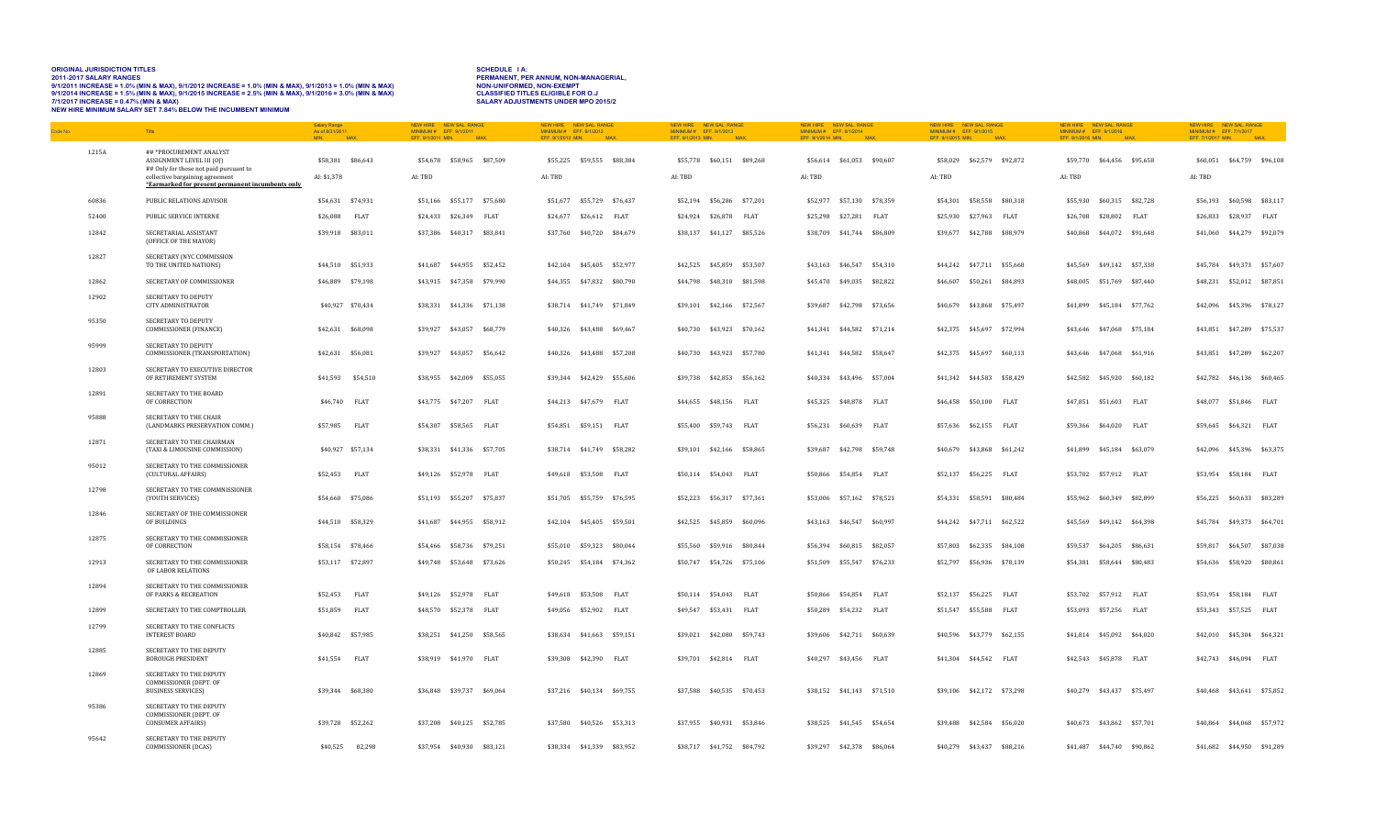# ORIGINAL JURISDICTION TITLES<br>2011-2017 SALARY RANGES<br>9/1/2011 INCREASE = 1.0% (MIN & MAX), 9/1/2012 INCREASE = 1.0% (MIN & MAX), 9/1/2013 = 1.0% (MIN & MAX) PERMIN<br>9/1/2014 INCREASE = 1.6% (MIN & MAX), 9/1/2015 INCREASE =

| Code No. |       | Title                                                                                                                                                                                | <b>Salary Range</b><br>As of 8/31/2011<br>MIN | <b>MA</b>         | NFW HIRE<br>MINIMUM # EFF. 9/1/2011<br>EFF. 9/1/2011 MIN. | NEW SAL, RANGE<br>MAX.     | NFW HIRE<br>MINIMUM # EFF. 9/1/2012<br>EFF. 9/1/2012 MIN. | NEW SAL, RANGE<br>MAX.     | NEW HIRE<br>MINIMUM # EFF. 9/1/2013<br>EFF. 9/1/2013 MIN. | NEW SAL RANGE<br>MAX       | NFW HIRE<br>MINIMUM # EFF. 9/1/2014<br>EFF. 9/1/2014 MIN. | NEW SAL, RANGE<br>MAX.     |             | MINIMUM # EFF. 9/1/2015<br>EFF. 9/1/2015 MIN. | NEW HIRE NEW SAL, RANGE<br>MAX |             | NFW HIRE<br>MINIMUM # EFF. 9/1/2016<br>EFF. 9/1/2016 MIN. | NEW SAL, RANGE             | MAX         | NEW HIRE NEW SAL, RANGE<br>MINIMUM# EFF. 7/1/2017<br>EFF. 7/1/2017 MIN. |                            | <b>MAX</b>        |
|----------|-------|--------------------------------------------------------------------------------------------------------------------------------------------------------------------------------------|-----------------------------------------------|-------------------|-----------------------------------------------------------|----------------------------|-----------------------------------------------------------|----------------------------|-----------------------------------------------------------|----------------------------|-----------------------------------------------------------|----------------------------|-------------|-----------------------------------------------|--------------------------------|-------------|-----------------------------------------------------------|----------------------------|-------------|-------------------------------------------------------------------------|----------------------------|-------------------|
|          | 1215A | ##*PROCUREMENT ANALYST<br>ASSIGNMENT LEVEL III (OI)<br>## Only for those not paid pursuant to<br>collective bargaining agreement<br>*Earmarked for present permanent incumbents only | \$58,381 \$86,643<br>AI: \$1,378              |                   | AI: TBD                                                   | \$54,678 \$58,965 \$87,509 | AI: TBD                                                   | \$55,225 \$59,555 \$88,384 | AI: TBD                                                   | \$55,778 \$60,151 \$89,268 | AI: TBD                                                   | \$56,614 \$61,053 \$90,607 |             | \$58,029<br>AI: TBD                           | \$62,579 \$92,872              |             | AI: TBD                                                   | \$59,770 \$64,456 \$95,658 |             | \$60,051<br>AI: TBD                                                     |                            | \$64,759 \$96,108 |
|          | 60836 | PUBLIC RELATIONS ADVISOR                                                                                                                                                             | \$54,631 \$74,931                             |                   |                                                           | \$51,166 \$55,177 \$75,680 |                                                           | \$51,677 \$55,729 \$76,437 |                                                           | \$52,194 \$56,286 \$77,201 |                                                           | \$52,977 \$57,130 \$78,359 |             |                                               | \$54,301 \$58,558 \$80,318     |             |                                                           | \$55,930 \$60,315 \$82,728 |             |                                                                         | \$56,193 \$60,598 \$83,117 |                   |
|          | 52400 | PUBLIC SERVICE INTERNE                                                                                                                                                               | \$26,088                                      | FLAT              | \$24,433 \$26,349 FLAT                                    |                            |                                                           | \$24,677 \$26,612 FLAT     |                                                           | \$24,924 \$26,878 FLAT     |                                                           | \$25,298 \$27,281 FLAT     |             |                                               | \$25,930 \$27,963 FLAT         |             |                                                           | \$26,708 \$28,802 FLAT     |             | \$26,833                                                                | \$28,937 FLAT              |                   |
|          | 12842 | SECRETARIAL ASSISTANT<br>(OFFICE OF THE MAYOR)                                                                                                                                       | \$39,918 \$83,011                             |                   |                                                           | \$37,386 \$40,317 \$83,841 |                                                           | \$37,760 \$40,720 \$84,679 |                                                           | \$38,137 \$41,127 \$85,526 |                                                           | \$38,709 \$41,744 \$86,809 |             |                                               | \$39,677 \$42,788 \$88,979     |             |                                                           | \$40,868 \$44,072 \$91,648 |             |                                                                         | \$41,060 \$44,279 \$92,079 |                   |
|          | 12827 | SECRETARY (NYC COMMISSION<br>TO THE UNITED NATIONS)                                                                                                                                  | \$44,510 \$51,933                             |                   |                                                           | \$41,687 \$44,955 \$52,452 |                                                           | \$42,104 \$45,405 \$52,977 |                                                           | \$42,525 \$45,859 \$53,507 |                                                           | \$43,163 \$46,547 \$54,310 |             |                                               | \$44,242 \$47,711 \$55,668     |             | \$45.569                                                  | \$49,142 \$57,338          |             | \$45.784                                                                | \$49,373 \$57,607          |                   |
|          | 12862 | SECRETARY OF COMMISSIONER                                                                                                                                                            | \$46,889 \$79,198                             |                   |                                                           | \$43,915 \$47,358 \$79,990 |                                                           | \$44,355 \$47,832 \$80,790 |                                                           | \$44,798 \$48,310 \$81,598 |                                                           | \$45,470 \$49,035 \$82,822 |             | \$46,607                                      | \$50,261 \$84,893              |             |                                                           | \$48,005 \$51,769 \$87,440 |             | \$48,231                                                                |                            | \$52,012 \$87,851 |
|          | 12902 | SECRETARY TO DEPUTY<br><b>CITY ADMINISTRATOR</b>                                                                                                                                     |                                               | \$40,927 \$70,434 |                                                           | \$38,331 \$41,336 \$71,138 |                                                           | \$38,714 \$41,749 \$71,849 |                                                           | \$39,101 \$42,166 \$72,567 |                                                           | \$39,687 \$42,798 \$73,656 |             | \$40,679                                      | \$43,868 \$75,497              |             | \$41,899                                                  | \$45,184                   | \$77,762    | \$42,096                                                                |                            | \$45,396 \$78,127 |
|          | 95350 | SECRETARY TO DEPUTY<br>COMMISSIONER (FINANCE)                                                                                                                                        | \$42,631 \$68,098                             |                   |                                                           | \$39,927 \$43,057 \$68,779 |                                                           | \$40,326 \$43,488 \$69,467 |                                                           | \$40,730 \$43,923 \$70,162 |                                                           | \$41,341 \$44,582 \$71,214 |             |                                               | \$42,375 \$45,697 \$72,994     |             | \$43,646                                                  | \$47,068                   | \$75,184    | \$43,851                                                                |                            | \$47,289 \$75,537 |
|          | 95999 | SECRETARY TO DEPUTY<br>COMMISSIONER (TRANSPORTATION)                                                                                                                                 | \$42,631 \$56,081                             |                   |                                                           | \$39,927 \$43,057 \$56,642 |                                                           | \$40,326 \$43,488 \$57,208 |                                                           | \$40,730 \$43,923 \$57,780 |                                                           | \$41,341 \$44,582 \$58,647 |             |                                               | \$42,375 \$45,697 \$60.113     |             |                                                           | \$43,646 \$47,068 \$61,916 |             |                                                                         | \$43.851 \$47.289          | \$62,207          |
|          | 12803 | SECRETARY TO EXECUTIVE DIRECTOR<br>OF RETIREMENT SYSTEM                                                                                                                              |                                               | \$41,593 \$54,510 |                                                           | \$38,955 \$42,009 \$55,055 |                                                           | \$39,344 \$42,429 \$55,606 |                                                           | \$39,738 \$42,853 \$56,162 |                                                           | \$40,334 \$43,496 \$57,004 |             |                                               | \$41,342 \$44,583 \$58,429     |             | \$42,582                                                  | \$45,920                   | \$60,182    | \$42,782                                                                | \$46,136                   | \$60,465          |
|          | 12891 | SECRETARY TO THE BOARD<br>OF CORRECTION                                                                                                                                              | \$46,740 FLAT                                 |                   | \$43,775 \$47,207 FLAT                                    |                            |                                                           | \$44,213 \$47,679 FLAT     |                                                           | \$44,655 \$48,156 FLAT     |                                                           | \$45,325 \$48,878 FLAT     |             | \$46,458                                      | \$50,100 FLAT                  |             |                                                           | \$47,851 \$51,603 FLAT     |             | \$48,077                                                                | \$51,846 FLAT              |                   |
|          | 95888 | SECRETARY TO THE CHAIR<br>(LANDMARKS PRESERVATION COMM.)                                                                                                                             | \$57,985                                      | FLAT              | \$54,307 \$58,565                                         | FLAT                       |                                                           | \$54,851 \$59,151 FLAT     |                                                           | \$55,400 \$59,743 FLAT     | \$56,231                                                  | \$60.639                   | FLAT        | \$57,636                                      | \$62,155                       | FLAT        | \$59.366                                                  | \$64,020                   | FLAT        | \$59.645                                                                | \$64,321 FLAT              |                   |
|          | 12871 | SECRETARY TO THE CHAIRMAN<br>(TAXI & LIMOUSINE COMMISSION)                                                                                                                           |                                               | \$40,927 \$57,134 |                                                           | \$38,331 \$41,336 \$57,705 |                                                           | \$38,714 \$41,749 \$58,282 |                                                           | \$39,101 \$42,166 \$58,865 | \$39,687                                                  | \$42,798 \$59,748          |             | \$40,679                                      | \$43,868 \$61,242              |             | \$41,899                                                  | \$45,184                   | \$63,079    | \$42,096                                                                | \$45,396                   | \$63,375          |
|          | 95012 | SECRETARY TO THE COMMISSIONER<br>(CULTURAL AFFAIRS)                                                                                                                                  | \$52,453                                      | <b>FLAT</b>       | \$49,126 \$52,978 FLAT                                    |                            |                                                           | \$49,618 \$53,508 FLAT     |                                                           | \$50,114 \$54,043 FLAT     |                                                           | \$50,866 \$54,854 FLAT     |             | \$52,137                                      | \$56,225 FLAT                  |             |                                                           | \$53,702 \$57,912 FLAT     |             | \$53,954                                                                | \$58,184 FLAT              |                   |
|          | 12798 | SECRETARY TO THE COMMNISSIONER<br>(YOUTH SERVICES)                                                                                                                                   | \$54,660 \$75,086                             |                   |                                                           | \$51,193 \$55,207 \$75,837 |                                                           | \$51,705 \$55,759 \$76,595 |                                                           | \$52,223 \$56,317 \$77,361 |                                                           | \$53,006 \$57,162 \$78,521 |             |                                               | \$54,331 \$58,591 \$80,484     |             |                                                           | \$55,962 \$60,349 \$82,899 |             | \$56,225                                                                |                            | \$60,633 \$83,289 |
|          | 12846 | SECRETARY OF THE COMMISSIONER<br>OF BUILDINGS                                                                                                                                        | \$44,510 \$58,329                             |                   |                                                           | \$41,687 \$44,955 \$58,912 |                                                           | \$42,104 \$45,405 \$59,501 |                                                           | \$42,525 \$45,859 \$60,096 |                                                           | \$43,163 \$46,547 \$60,997 |             |                                               | \$44,242 \$47,711 \$62,522     |             |                                                           | \$45,569 \$49,142 \$64,398 |             | \$45,784                                                                |                            | \$49,373 \$64,701 |
|          | 12875 | SECRETARY TO THE COMMISSIONER<br>OF CORRECTION                                                                                                                                       | \$58,154 \$78,466                             |                   |                                                           | \$54,466 \$58,736 \$79,251 |                                                           | \$55,010 \$59,323 \$80,044 |                                                           | \$55,560 \$59,916 \$80,844 |                                                           | \$56,394 \$60,815 \$82,057 |             | \$57,803                                      | \$62,335 \$84,108              |             |                                                           | \$59,537 \$64,205 \$86,631 |             | \$59,817                                                                | \$64,507                   | \$87,038          |
|          | 12913 | SECRETARY TO THE COMMISSIONER<br>OF LABOR RELATIONS                                                                                                                                  | \$53,117 \$72,897                             |                   |                                                           | \$49,748 \$53,648 \$73,626 |                                                           | \$50,245 \$54,184 \$74,362 |                                                           | \$50,747 \$54,726 \$75,106 |                                                           | \$51,509 \$55,547 \$76,233 |             |                                               | \$52,797 \$56,936 \$78,139     |             |                                                           | \$54,381 \$58,644 \$80,483 |             |                                                                         | \$54,636 \$58,920          | \$80,861          |
|          | 12894 | SECRETARY TO THE COMMISSIONER<br>OF PARKS & RECREATION                                                                                                                               | \$52,453                                      | FLAT              | \$49,126 \$52,978                                         | <b>FLAT</b>                |                                                           | \$49,618 \$53,508 FLAT     |                                                           | \$50,114 \$54,043 FLAT     | \$50,866                                                  | \$54,854                   | <b>FLAT</b> | \$52.137                                      | \$56,225                       | <b>FLAT</b> | \$53,702                                                  | \$57,912                   | <b>FLAT</b> | \$53.954                                                                | \$58,184 FLAT              |                   |
|          | 12899 | SECRETARY TO THE COMPTROLLER                                                                                                                                                         | \$51,859                                      | FLAT              | \$48,570 \$52,378 FLAT                                    |                            |                                                           | \$49,056 \$52,902 FLAT     |                                                           | \$49,547 \$53,431 FLAT     | \$50,289                                                  | \$54,232 FLAT              |             | \$51,547                                      | \$55,588                       | FLAT        | \$53,093                                                  | \$57,256                   | <b>FLAT</b> | \$53,343                                                                | \$57,525 FLAT              |                   |
|          | 12799 | SECRETARY TO THE CONFLICTS<br><b>INTEREST BOARD</b>                                                                                                                                  | \$40,842 \$57,985                             |                   |                                                           | \$38,251 \$41,250 \$58,565 |                                                           | \$38,634 \$41,663 \$59,151 |                                                           | \$39,021 \$42,080 \$59,743 |                                                           | \$39,606 \$42,711 \$60,639 |             |                                               | \$40,596 \$43,779 \$62,155     |             |                                                           | \$41,814 \$45,092 \$64,020 |             |                                                                         | \$42,010 \$45,304 \$64,321 |                   |
|          | 12885 | SECRETARY TO THE DEPUTY<br><b>BOROUGH PRESIDENT</b>                                                                                                                                  | \$41,554                                      | <b>FLAT</b>       | \$38,919 \$41,970 FLAT                                    |                            |                                                           | \$39,308 \$42,390 FLAT     |                                                           | \$39,701 \$42,814 FLAT     |                                                           | \$40,297 \$43,456 FLAT     |             |                                               | \$41,304 \$44,542 FLAT         |             |                                                           | \$42,543 \$45,878 FLAT     |             |                                                                         | \$42,743 \$46,094 FLAT     |                   |
|          | 12869 | SECRETARY TO THE DEPUTY<br>COMMISSIONER (DEPT. OF<br><b>BUSINESS SERVICES)</b>                                                                                                       | \$39,344 \$68,380                             |                   |                                                           | \$36,848 \$39,737 \$69,064 |                                                           | \$37,216 \$40,134 \$69,755 |                                                           | \$37,588 \$40,535 \$70,453 |                                                           | \$38,152 \$41,143 \$71,510 |             |                                               | \$39,106 \$42,172 \$73,298     |             |                                                           | \$40,279 \$43,437 \$75,497 |             |                                                                         | \$40,468 \$43,641 \$75,852 |                   |
|          | 95386 | SECRETARY TO THE DEPUTY<br>COMMISSIONER (DEPT. OF<br><b>CONSUMER AFFAIRS)</b>                                                                                                        | \$39,728 \$52,262                             |                   |                                                           | \$37,208 \$40,125 \$52,785 |                                                           | \$37,580 \$40,526 \$53,313 |                                                           | \$37,955 \$40,931 \$53,846 |                                                           | \$38,525 \$41,545 \$54,654 |             | \$39.488                                      | \$42,584 \$56,020              |             |                                                           | \$40,673 \$43,862 \$57,701 |             | \$40.864                                                                |                            | \$44,068 \$57,972 |
|          | 95642 | SECRETARY TO THE DEPUTY<br>COMMISSIONER (DCAS)                                                                                                                                       | \$40,525                                      | 82,298            | \$37,954 \$40,930 \$83,121                                |                            |                                                           | \$38,334 \$41,339 \$83,952 |                                                           | \$38,717 \$41,752 \$84,792 |                                                           | \$39,297 \$42,378 \$86,064 |             |                                               | \$40,279 \$43,437 \$88,216     |             |                                                           | \$41,487 \$44,740 \$90,862 |             |                                                                         | \$41,682 \$44,950 \$91,289 |                   |